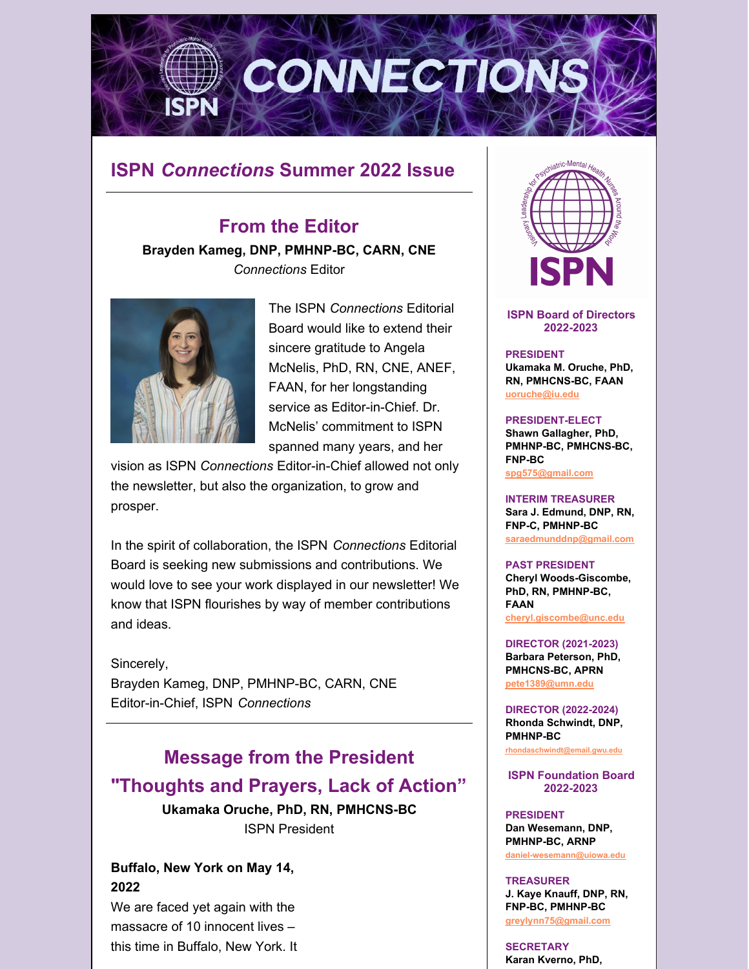

# **ISPN** *Connections* **Summer 2022 Issue**

# **From the Editor**

**Brayden Kameg, DNP, PMHNP-BC, CARN, CNE** *Connections* Editor



The ISPN *Connections* Editorial Board would like to extend their sincere gratitude to Angela McNelis, PhD, RN, CNE, ANEF, FAAN, for her longstanding service as Editor-in-Chief. Dr. McNelis' commitment to ISPN spanned many years, and her

vision as ISPN *Connections* Editor-in-Chief allowed not only the newsletter, but also the organization, to grow and prosper.

In the spirit of collaboration, the ISPN *Connections* Editorial Board is seeking new submissions and contributions. We would love to see your work displayed in our newsletter! We know that ISPN flourishes by way of member contributions and ideas.

Sincerely,

Brayden Kameg, DNP, PMHNP-BC, CARN, CNE Editor-in-Chief, ISPN *Connections*

# **Message from the President "Thoughts and Prayers, Lack of Action"**

**Ukamaka Oruche, PhD, RN, PMHCNS-BC** ISPN President

# **Buffalo, New York on May 14, 2022**

We are faced yet again with the massacre of 10 innocent lives – this time in Buffalo, New York. It



**ISPN Board of Directors 2022-2023**

#### **PRESIDENT**

**Ukamaka M. Oruche, PhD, RN, PMHCNS-BC, FAAN [uoruche@iu.edu](mailto:uoruche@iu.edu)**

#### **PRESIDENT-ELECT**

**Shawn Gallagher, PhD, PMHNP-BC, PMHCNS-BC, FNP-BC [spg575@gmail.com](mailto:spg575@gmail.com)**

**INTERIM TREASURER Sara J. Edmund, DNP, RN, FNP-C, PMHNP-BC [saraedmunddnp@gmail.com](mailto:saraedmunddnp@gmail.com)**

#### **PAST PRESIDENT**

**Cheryl Woods-Giscombe, PhD, RN, PMHNP-BC, FAAN [cheryl.giscombe@unc.edu](mailto:cheryl.giscombe@unc.edu)**

**DIRECTOR (2021-2023) Barbara Peterson, PhD, PMHCNS-BC, APRN [pete1389@umn.edu](mailto:pete1389@umn.edu)**

**DIRECTOR (2022-2024) Rhonda Schwindt, DNP, PMHNP-BC [rhondaschwindt@email.gwu.edu](mailto:rhondaschwindt@email.gwu.edu)**

**ISPN Foundation Board 2022-2023**

**PRESIDENT Dan Wesemann, DNP, PMHNP-BC, ARNP [daniel-wesemann@uiowa.edu](mailto:daniel-wesemann@uiowa.edu)**

**TREASURER J. Kaye Knauff, DNP, RN, FNP-BC, PMHNP-BC [greylynn75@gmail.com](mailto:greylynn75@gmail.com)**

**SECRETARY Karan Kverno, PhD,**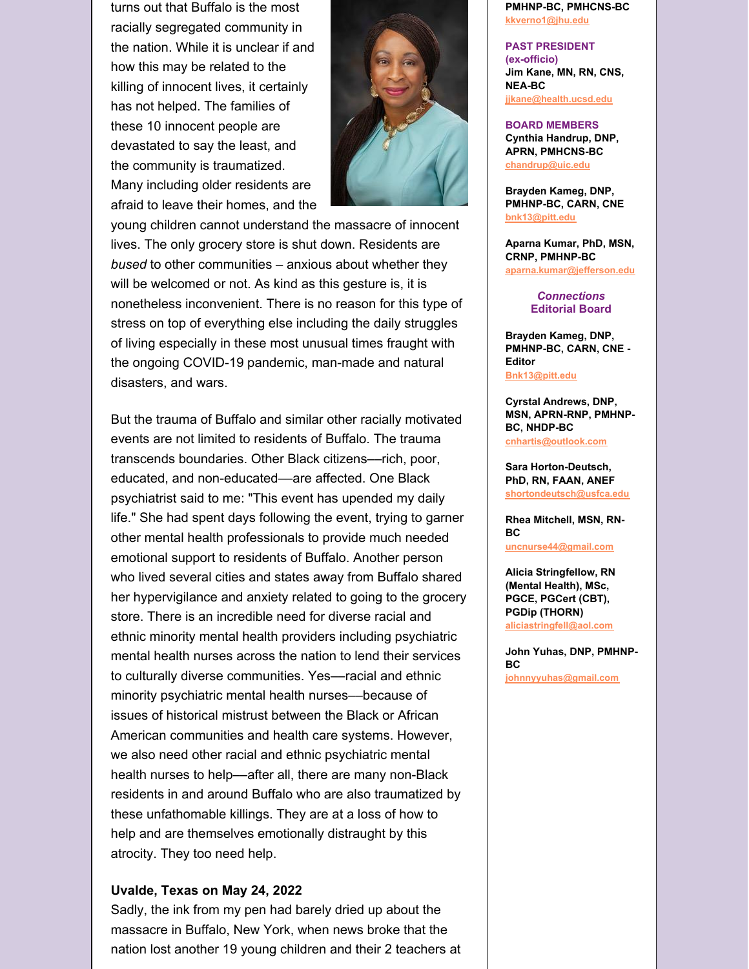turns out that Buffalo is the most racially segregated community in the nation. While it is unclear if and how this may be related to the killing of innocent lives, it certainly has not helped. The families of these 10 innocent people are devastated to say the least, and the community is traumatized. Many including older residents are afraid to leave their homes, and the



young children cannot understand the massacre of innocent lives. The only grocery store is shut down. Residents are *bused* to other communities – anxious about whether they will be welcomed or not. As kind as this gesture is, it is nonetheless inconvenient. There is no reason for this type of stress on top of everything else including the daily struggles of living especially in these most unusual times fraught with the ongoing COVID-19 pandemic, man-made and natural disasters, and wars.

But the trauma of Buffalo and similar other racially motivated events are not limited to residents of Buffalo. The trauma transcends boundaries. Other Black citizens––rich, poor, educated, and non-educated––are affected. One Black psychiatrist said to me: "This event has upended my daily life." She had spent days following the event, trying to garner other mental health professionals to provide much needed emotional support to residents of Buffalo. Another person who lived several cities and states away from Buffalo shared her hypervigilance and anxiety related to going to the grocery store. There is an incredible need for diverse racial and ethnic minority mental health providers including psychiatric mental health nurses across the nation to lend their services to culturally diverse communities. Yes––racial and ethnic minority psychiatric mental health nurses––because of issues of historical mistrust between the Black or African American communities and health care systems. However, we also need other racial and ethnic psychiatric mental health nurses to help––after all, there are many non-Black residents in and around Buffalo who are also traumatized by these unfathomable killings. They are at a loss of how to help and are themselves emotionally distraught by this atrocity. They too need help.

#### **Uvalde, Texas on May 24, 2022**

Sadly, the ink from my pen had barely dried up about the massacre in Buffalo, New York, when news broke that the nation lost another 19 young children and their 2 teachers at

**PMHNP-BC, PMHCNS-BC [kkverno1@jhu.edu](mailto:kkverno1@jhu.edu)**

**PAST PRESIDENT (ex-officio) Jim Kane, MN, RN, CNS, NEA-BC**

**[jjkane@health.ucsd.edu](mailto:jjkane@health.ucsd.edu)**

#### **BOARD MEMBERS**

**Cynthia Handrup, DNP, APRN, PMHCNS-BC [chandrup@uic.edu](mailto:chandrup@uic.edu)**

**Brayden Kameg, DNP, PMHNP-BC, CARN, CNE [bnk13@pitt.edu](mailto:bnk13@pitt.edu)**

**Aparna Kumar, PhD, MSN, CRNP, PMHNP-BC [aparna.kumar@jefferson.edu](mailto:aparna.kumar@jefferson.edu)**

> *Connections* **Editorial Board**

**Brayden Kameg, DNP, PMHNP-BC, CARN, CNE - Editor [Bnk13@pitt.edu](mailto:Bnk13@pitt.edu)**

**Cyrstal Andrews, DNP, MSN, APRN-RNP, PMHNP-BC, NHDP-BC [cnhartis@outlook.com](mailto:cnhartis@outlook.com)**

**Sara Horton-Deutsch, PhD, RN, FAAN, ANEF [shortondeutsch@usfca.edu](mailto:shortondeutsch@usfca.edu)**

**Rhea Mitchell, MSN, RN-BC [uncnurse44@gmail.com](mailto:uncnurse44@gmail.com)**

**Alicia Stringfellow, RN (Mental Health), MSc, PGCE, PGCert (CBT), PGDip (THORN) [aliciastringfell@aol.com](mailto:aliciastringfell@aol.com)**

**John Yuhas, DNP, PMHNP-BC [johnnyyuhas@gmail.com](mailto:johnnyyuhas@gmail.com)**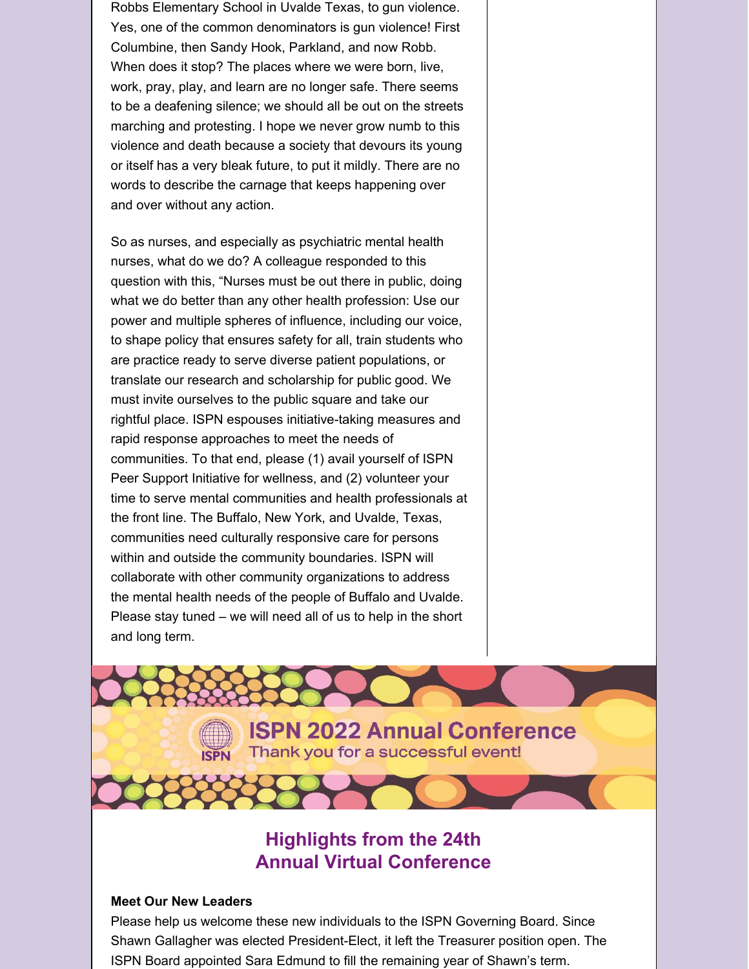Robbs Elementary School in Uvalde Texas, to gun violence. Yes, one of the common denominators is gun violence! First Columbine, then Sandy Hook, Parkland, and now Robb. When does it stop? The places where we were born, live, work, pray, play, and learn are no longer safe. There seems to be a deafening silence; we should all be out on the streets marching and protesting. I hope we never grow numb to this violence and death because a society that devours its young or itself has a very bleak future, to put it mildly. There are no words to describe the carnage that keeps happening over and over without any action.

So as nurses, and especially as psychiatric mental health nurses, what do we do? A colleague responded to this question with this, "Nurses must be out there in public, doing what we do better than any other health profession: Use our power and multiple spheres of influence, including our voice, to shape policy that ensures safety for all, train students who are practice ready to serve diverse patient populations, or translate our research and scholarship for public good. We must invite ourselves to the public square and take our rightful place. ISPN espouses initiative-taking measures and rapid response approaches to meet the needs of communities. To that end, please (1) avail yourself of ISPN Peer Support Initiative for wellness, and (2) volunteer your time to serve mental communities and health professionals at the front line. The Buffalo, New York, and Uvalde, Texas, communities need culturally responsive care for persons within and outside the community boundaries. ISPN will collaborate with other community organizations to address the mental health needs of the people of Buffalo and Uvalde. Please stay tuned – we will need all of us to help in the short and long term.

> **ISPN 2022 Annual Conference** Thank you for a successful event!

# **Highlights from the 24th Annual Virtual Conference**

#### **Meet Our New Leaders**

**ISPN** 

Please help us welcome these new individuals to the ISPN Governing Board. Since Shawn Gallagher was elected President-Elect, it left the Treasurer position open. The ISPN Board appointed Sara Edmund to fill the remaining year of Shawn's term.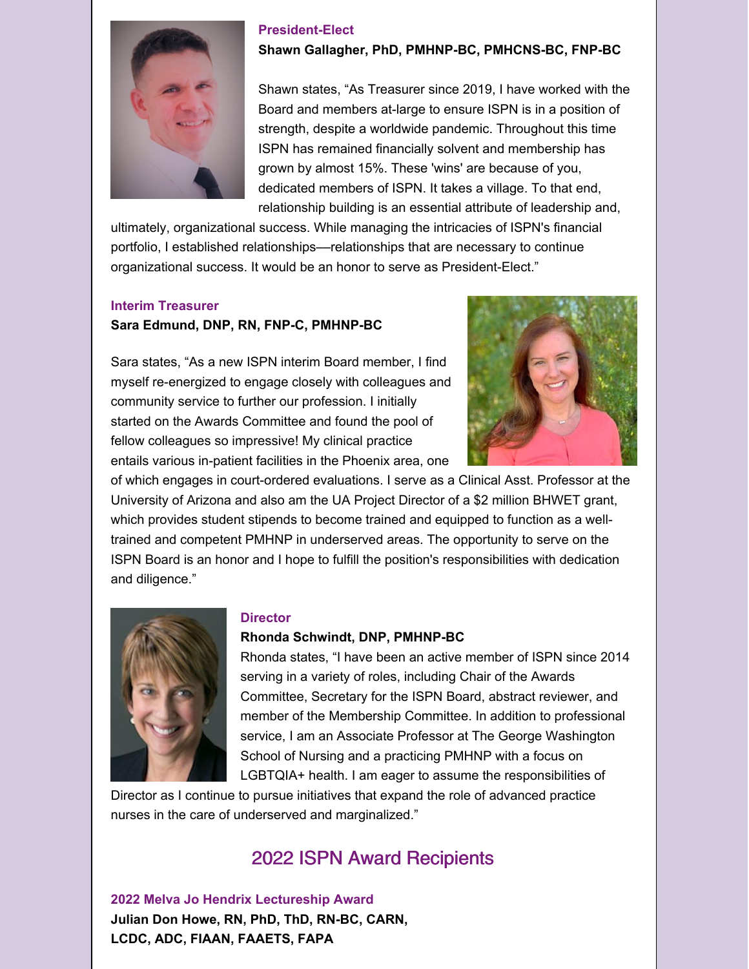

#### **President-Elect**

**Shawn Gallagher, PhD, PMHNP-BC, PMHCNS-BC, FNP-BC**

Shawn states, "As Treasurer since 2019, I have worked with the Board and members at-large to ensure ISPN is in a position of strength, despite a worldwide pandemic. Throughout this time ISPN has remained financially solvent and membership has grown by almost 15%. These 'wins' are because of you, dedicated members of ISPN. It takes a village. To that end, relationship building is an essential attribute of leadership and,

ultimately, organizational success. While managing the intricacies of ISPN's financial portfolio, I established relationships––relationships that are necessary to continue organizational success. It would be an honor to serve as President-Elect."

### **Interim Treasurer**

# **Sara Edmund, DNP, RN, FNP-C, PMHNP-BC**

Sara states, "As a new ISPN interim Board member, I find myself re-energized to engage closely with colleagues and community service to further our profession. I initially started on the Awards Committee and found the pool of fellow colleagues so impressive! My clinical practice entails various in-patient facilities in the Phoenix area, one



of which engages in court-ordered evaluations. I serve as a Clinical Asst. Professor at the University of Arizona and also am the UA Project Director of a \$2 million BHWET grant, which provides student stipends to become trained and equipped to function as a welltrained and competent PMHNP in underserved areas. The opportunity to serve on the ISPN Board is an honor and I hope to fulfill the position's responsibilities with dedication and diligence."



#### **Director**

#### **Rhonda Schwindt, DNP, PMHNP-BC**

Rhonda states, "I have been an active member of ISPN since 2014 serving in a variety of roles, including Chair of the Awards Committee, Secretary for the ISPN Board, abstract reviewer, and member of the Membership Committee. In addition to professional service, I am an Associate Professor at The George Washington School of Nursing and a practicing PMHNP with a focus on LGBTQIA+ health. I am eager to assume the responsibilities of

Director as I continue to pursue initiatives that expand the role of advanced practice nurses in the care of underserved and marginalized."

# 2022 ISPN Award Recipients

**2022 Melva Jo Hendrix Lectureship Award Julian Don Howe, RN, PhD, ThD, RN-BC, CARN, LCDC, ADC, FIAAN, FAAETS, FAPA**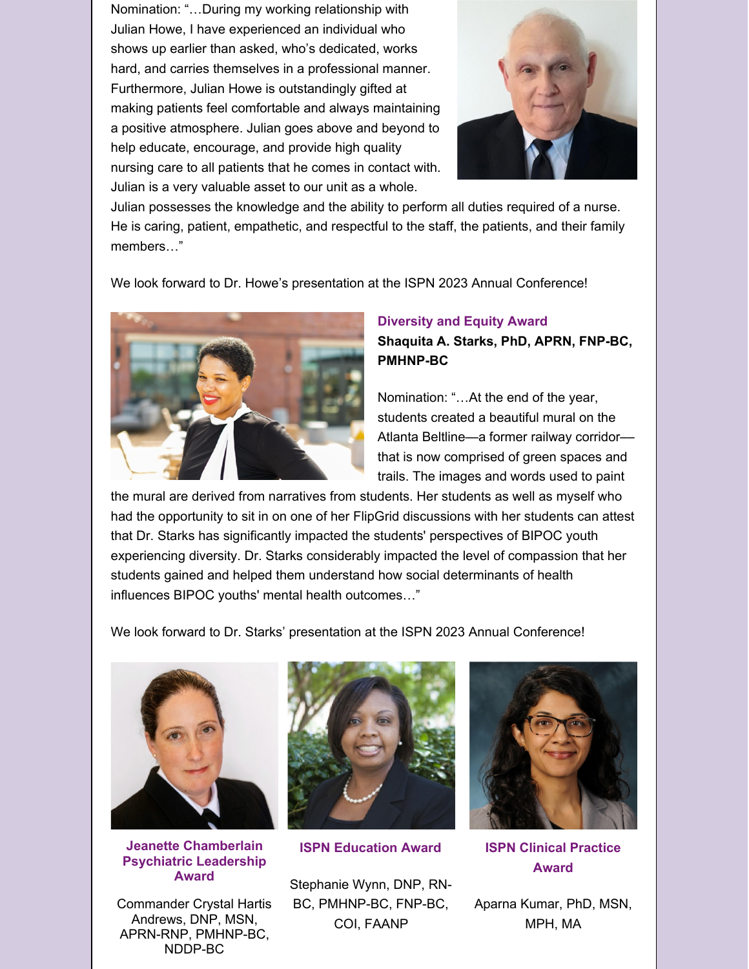Nomination: "…During my working relationship with Julian Howe, I have experienced an individual who shows up earlier than asked, who's dedicated, works hard, and carries themselves in a professional manner. Furthermore, Julian Howe is outstandingly gifted at making patients feel comfortable and always maintaining a positive atmosphere. Julian goes above and beyond to help educate, encourage, and provide high quality nursing care to all patients that he comes in contact with. Julian is a very valuable asset to our unit as a whole.



Julian possesses the knowledge and the ability to perform all duties required of a nurse. He is caring, patient, empathetic, and respectful to the staff, the patients, and their family members…"

We look forward to Dr. Howe's presentation at the ISPN 2023 Annual Conference!



# **Diversity and Equity Award Shaquita A. Starks, PhD, APRN, FNP-BC, PMHNP-BC**

Nomination: "…At the end of the year, students created a beautiful mural on the Atlanta Beltline—a former railway corridor–– that is now comprised of green spaces and trails. The images and words used to paint

the mural are derived from narratives from students. Her students as well as myself who had the opportunity to sit in on one of her FlipGrid discussions with her students can attest that Dr. Starks has significantly impacted the students' perspectives of BIPOC youth experiencing diversity. Dr. Starks considerably impacted the level of compassion that her students gained and helped them understand how social determinants of health influences BIPOC youths' mental health outcomes…"

We look forward to Dr. Starks' presentation at the ISPN 2023 Annual Conference!



**Jeanette Chamberlain Psychiatric Leadership Award**

Commander Crystal Hartis Andrews, DNP, MSN, APRN-RNP, PMHNP-BC, NDDP-BC



**ISPN Education Award**

Stephanie Wynn, DNP, RN-BC, PMHNP-BC, FNP-BC, COI, FAANP



**ISPN Clinical Practice Award**

Aparna Kumar, PhD, MSN, MPH, MA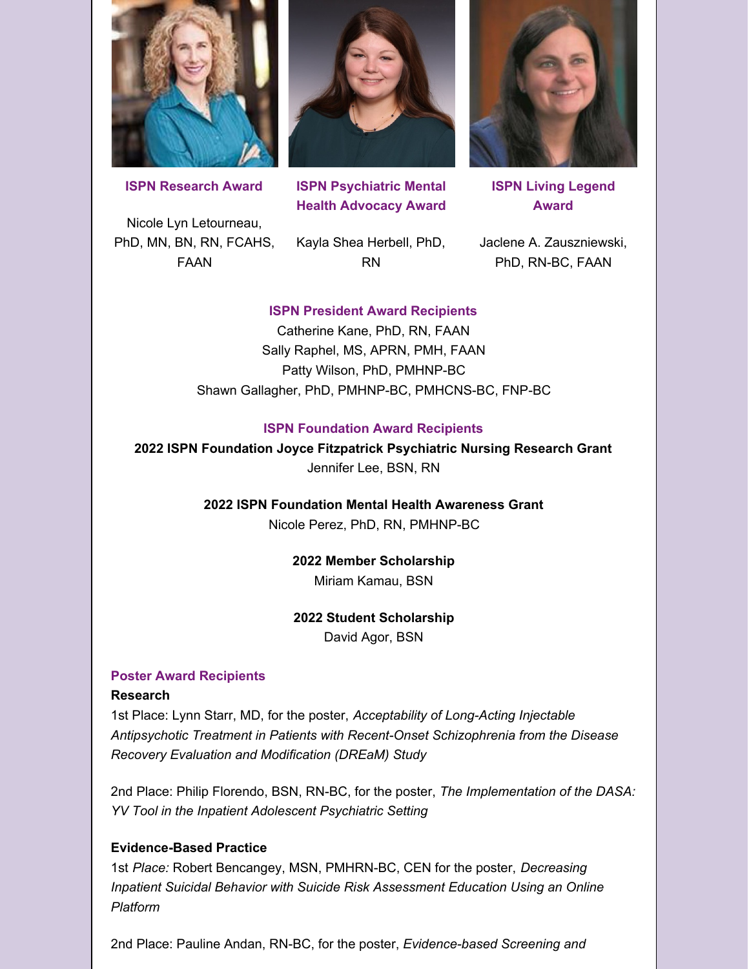

**ISPN Research Award**

Nicole Lyn Letourneau, PhD, MN, BN, RN, FCAHS, FAAN



**ISPN Psychiatric Mental Health Advocacy Award**

Kayla Shea Herbell, PhD, RN



**ISPN Living Legend Award**

Jaclene A. Zauszniewski, PhD, RN-BC, FAAN

### **ISPN President Award Recipients**

Catherine Kane, PhD, RN, FAAN Sally Raphel, MS, APRN, PMH, FAAN Patty Wilson, PhD, PMHNP-BC Shawn Gallagher, PhD, PMHNP-BC, PMHCNS-BC, FNP-BC

#### **ISPN Foundation Award Recipients**

**2022 ISPN Foundation Joyce Fitzpatrick Psychiatric Nursing Research Grant** Jennifer Lee, BSN, RN

> **2022 ISPN Foundation Mental Health Awareness Grant** Nicole Perez, PhD, RN, PMHNP-BC

> > **2022 Member Scholarship** Miriam Kamau, BSN

#### **2022 Student Scholarship**

David Agor, BSN

#### **Poster Award Recipients**

#### **Research**

1st Place: Lynn Starr, MD, for the poster, *Acceptability of Long-Acting Injectable Antipsychotic Treatment in Patients with Recent-Onset Schizophrenia from the Disease Recovery Evaluation and Modification (DREaM) Study*

2nd Place: Philip Florendo, BSN, RN-BC, for the poster, *The Implementation of the DASA: YV Tool in the Inpatient Adolescent Psychiatric Setting*

#### **Evidence-Based Practice**

1st *Place:* Robert Bencangey, MSN, PMHRN-BC, CEN for the poster, *Decreasing Inpatient Suicidal Behavior with Suicide Risk Assessment Education Using an Online Platform*

2nd Place: Pauline Andan, RN-BC, for the poster, *Evidence-based Screening and*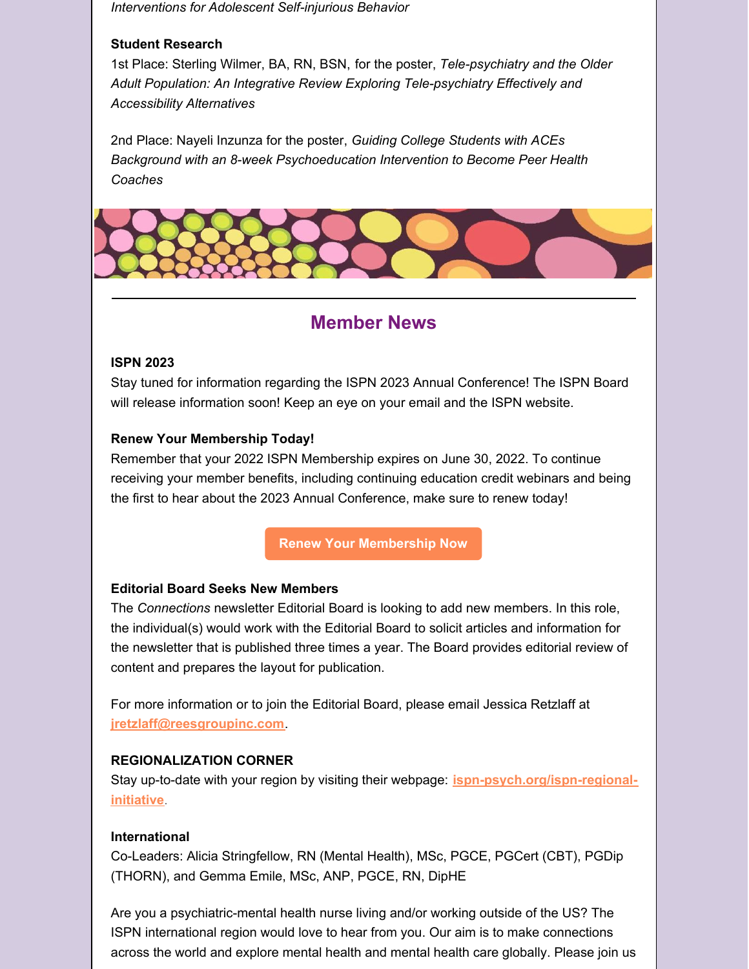*Interventions for Adolescent Self-injurious Behavior*

# **Student Research**

1st Place: Sterling Wilmer, BA, RN, BSN, for the poster, *Tele-psychiatry and the Older Adult Population: An Integrative Review Exploring Tele-psychiatry Effectively and Accessibility Alternatives*

2nd Place: Nayeli Inzunza for the poster, *Guiding College Students with ACEs Background with an 8-week Psychoeducation Intervention to Become Peer Health Coaches*



# **Member News**

# **ISPN 2023**

Stay tuned for information regarding the ISPN 2023 Annual Conference! The ISPN Board will release information soon! Keep an eye on your email and the ISPN website.

### **Renew Your Membership Today!**

Remember that your 2022 ISPN Membership expires on June 30, 2022. To continue receiving your member benefits, including continuing education credit webinars and being the first to hear about the 2023 Annual Conference, make sure to renew today!

**Renew Your [Membership](https://www.ispn-psych.org/membership) Now**

#### **Editorial Board Seeks New Members**

The *Connections* newsletter Editorial Board is looking to add new members. In this role, the individual(s) would work with the Editorial Board to solicit articles and information for the newsletter that is published three times a year. The Board provides editorial review of content and prepares the layout for publication.

For more information or to join the Editorial Board, please email Jessica Retzlaff at **[jretzlaff@reesgroupinc.com](mailto:jretzlaff@reesgroupinc.com)**.

# **REGIONALIZATION CORNER**

Stay up-to-date with your region by visiting their webpage: **[ispn-psych.org/ispn-regional](http://ispn-psych.org/ispn-regional-initiative)initiative**.

#### **International**

Co-Leaders: Alicia Stringfellow, RN (Mental Health), MSc, PGCE, PGCert (CBT), PGDip (THORN), and Gemma Emile, MSc, ANP, PGCE, RN, DipHE

Are you a psychiatric-mental health nurse living and/or working outside of the US? The ISPN international region would love to hear from you. Our aim is to make connections across the world and explore mental health and mental health care globally. Please join us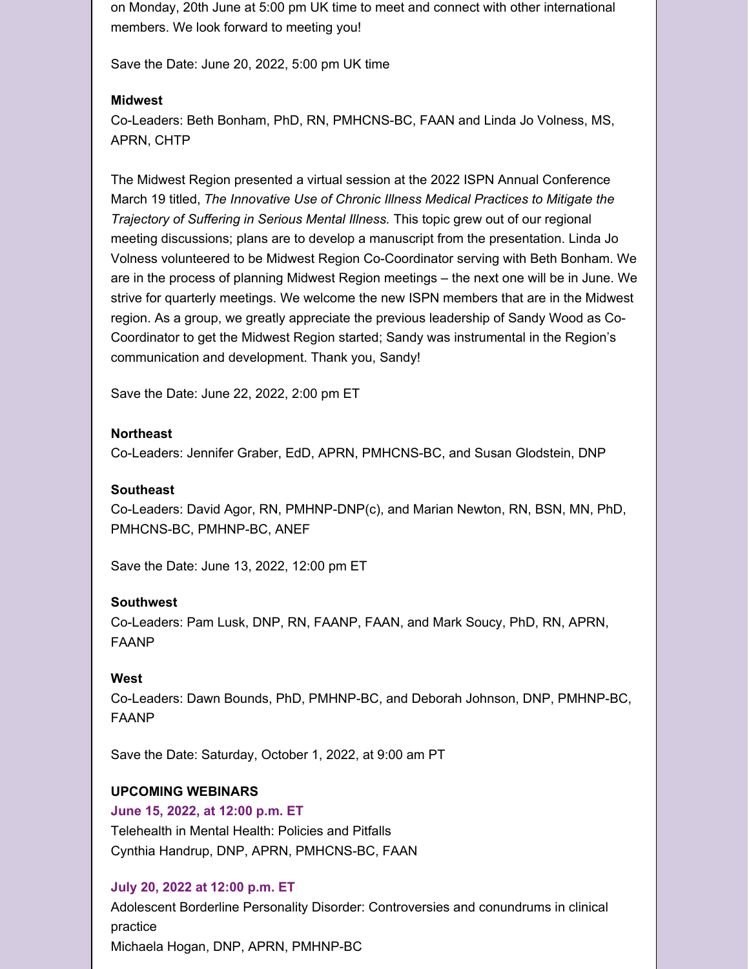on Monday, 20th June at 5:00 pm UK time to meet and connect with other international members. We look forward to meeting you!

Save the Date: June 20, 2022, 5:00 pm UK time

# **Midwest**

Co-Leaders: Beth Bonham, PhD, RN, PMHCNS-BC, FAAN and Linda Jo Volness, MS, APRN, CHTP

The Midwest Region presented a virtual session at the 2022 ISPN Annual Conference March 19 titled, *The Innovative Use of Chronic Illness Medical Practices to Mitigate the Trajectory of Suffering in Serious Mental Illness.* This topic grew out of our regional meeting discussions; plans are to develop a manuscript from the presentation. Linda Jo Volness volunteered to be Midwest Region Co-Coordinator serving with Beth Bonham. We are in the process of planning Midwest Region meetings – the next one will be in June. We strive for quarterly meetings. We welcome the new ISPN members that are in the Midwest region. As a group, we greatly appreciate the previous leadership of Sandy Wood as Co-Coordinator to get the Midwest Region started; Sandy was instrumental in the Region's communication and development. Thank you, Sandy!

Save the Date: June 22, 2022, 2:00 pm ET

### **Northeast**

Co-Leaders: Jennifer Graber, EdD, APRN, PMHCNS-BC, and Susan Glodstein, DNP

### **Southeast**

Co-Leaders: David Agor, RN, PMHNP-DNP(c), and Marian Newton, RN, BSN, MN, PhD, PMHCNS-BC, PMHNP-BC, ANEF

Save the Date: June 13, 2022, 12:00 pm ET

# **Southwest**

Co-Leaders: Pam Lusk, DNP, RN, FAANP, FAAN, and Mark Soucy, PhD, RN, APRN, FAANP

# **West**

Co-Leaders: Dawn Bounds, PhD, PMHNP-BC, and Deborah Johnson, DNP, PMHNP-BC, FAANP

Save the Date: Saturday, October 1, 2022, at 9:00 am PT

# **UPCOMING WEBINARS**

# **June 15, 2022, at 12:00 p.m. ET**

Telehealth in Mental Health: Policies and Pitfalls Cynthia Handrup, DNP, APRN, PMHCNS-BC, FAAN

# **July 20, 2022 at 12:00 p.m. ET**

Adolescent Borderline Personality Disorder: Controversies and conundrums in clinical practice Michaela Hogan, DNP, APRN, PMHNP-BC